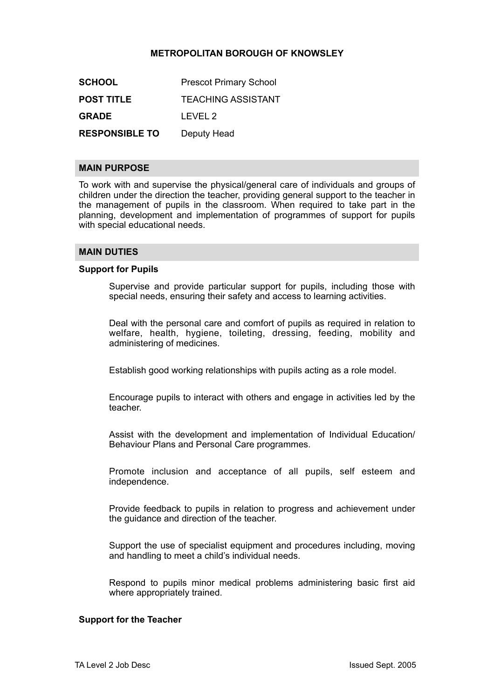# **METROPOLITAN BOROUGH OF KNOWSLEY**

| <b>SCHOOL</b>         | <b>Prescot Primary School</b> |
|-----------------------|-------------------------------|
| <b>POST TITLE</b>     | <b>TEACHING ASSISTANT</b>     |
| <b>GRADE</b>          | LEVEL 2                       |
| <b>RESPONSIBLE TO</b> | Deputy Head                   |

### **MAIN PURPOSE**

To work with and supervise the physical/general care of individuals and groups of children under the direction the teacher, providing general support to the teacher in the management of pupils in the classroom. When required to take part in the planning, development and implementation of programmes of support for pupils with special educational needs.

# **MAIN DUTIES**

#### **Support for Pupils**

Supervise and provide particular support for pupils, including those with special needs, ensuring their safety and access to learning activities.

Deal with the personal care and comfort of pupils as required in relation to welfare, health, hygiene, toileting, dressing, feeding, mobility and administering of medicines.

Establish good working relationships with pupils acting as a role model.

Encourage pupils to interact with others and engage in activities led by the teacher.

Assist with the development and implementation of Individual Education/ Behaviour Plans and Personal Care programmes.

Promote inclusion and acceptance of all pupils, self esteem and independence.

Provide feedback to pupils in relation to progress and achievement under the guidance and direction of the teacher.

Support the use of specialist equipment and procedures including, moving and handling to meet a child's individual needs.

Respond to pupils minor medical problems administering basic first aid where appropriately trained.

## **Support for the Teacher**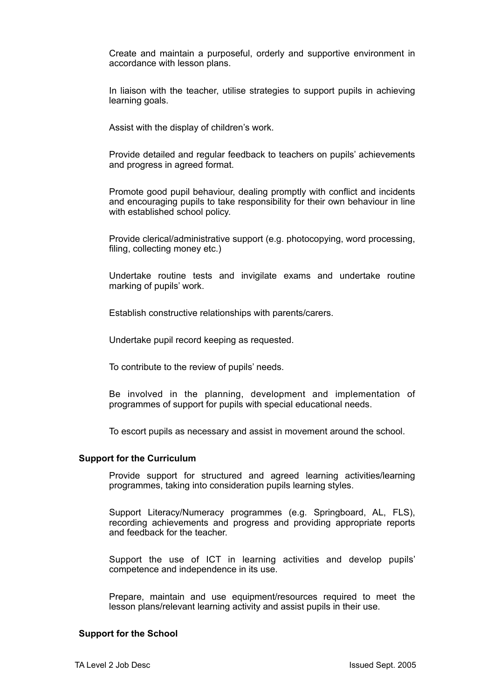Create and maintain a purposeful, orderly and supportive environment in accordance with lesson plans.

In liaison with the teacher, utilise strategies to support pupils in achieving learning goals.

Assist with the display of children's work.

Provide detailed and regular feedback to teachers on pupils' achievements and progress in agreed format.

Promote good pupil behaviour, dealing promptly with conflict and incidents and encouraging pupils to take responsibility for their own behaviour in line with established school policy.

Provide clerical/administrative support (e.g. photocopying, word processing, filing, collecting money etc.)

Undertake routine tests and invigilate exams and undertake routine marking of pupils' work.

Establish constructive relationships with parents/carers.

Undertake pupil record keeping as requested.

To contribute to the review of pupils' needs.

Be involved in the planning, development and implementation of programmes of support for pupils with special educational needs.

To escort pupils as necessary and assist in movement around the school.

#### **Support for the Curriculum**

Provide support for structured and agreed learning activities/learning programmes, taking into consideration pupils learning styles.

Support Literacy/Numeracy programmes (e.g. Springboard, AL, FLS), recording achievements and progress and providing appropriate reports and feedback for the teacher.

Support the use of ICT in learning activities and develop pupils' competence and independence in its use.

Prepare, maintain and use equipment/resources required to meet the lesson plans/relevant learning activity and assist pupils in their use.

#### **Support for the School**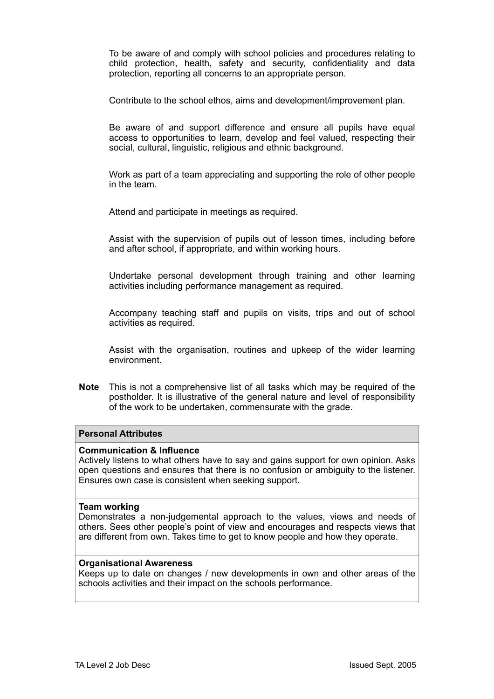To be aware of and comply with school policies and procedures relating to child protection, health, safety and security, confidentiality and data protection, reporting all concerns to an appropriate person.

Contribute to the school ethos, aims and development/improvement plan.

Be aware of and support difference and ensure all pupils have equal access to opportunities to learn, develop and feel valued, respecting their social, cultural, linguistic, religious and ethnic background.

Work as part of a team appreciating and supporting the role of other people in the team.

Attend and participate in meetings as required.

Assist with the supervision of pupils out of lesson times, including before and after school, if appropriate, and within working hours.

Undertake personal development through training and other learning activities including performance management as required.

Accompany teaching staff and pupils on visits, trips and out of school activities as required.

Assist with the organisation, routines and upkeep of the wider learning environment.

**Note** This is not a comprehensive list of all tasks which may be required of the postholder. It is illustrative of the general nature and level of responsibility of the work to be undertaken, commensurate with the grade.

# **Personal Attributes**

# **Communication & Influence**

Actively listens to what others have to say and gains support for own opinion. Asks open questions and ensures that there is no confusion or ambiguity to the listener. Ensures own case is consistent when seeking support.

#### **Team working**

Demonstrates a non-judgemental approach to the values, views and needs of others. Sees other people's point of view and encourages and respects views that are different from own. Takes time to get to know people and how they operate.

#### **Organisational Awareness**

Keeps up to date on changes / new developments in own and other areas of the schools activities and their impact on the schools performance.